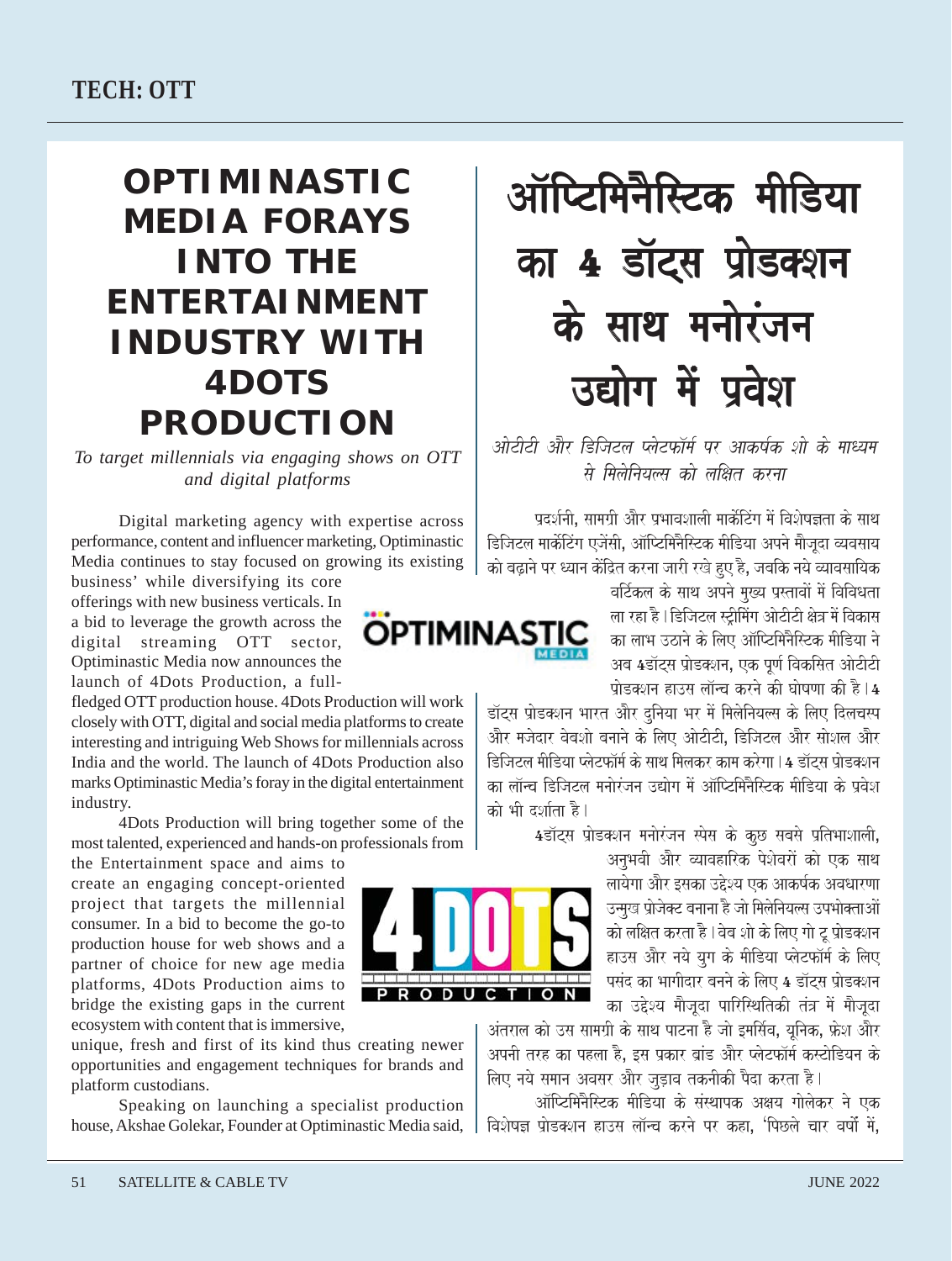## **OPTIMINASTIC MEDIA FORAYS INTO THE ENTERTAINMENT INDUSTRY WITH 4DOTS PRODUCTION**

*To target millennials via engaging shows on OTT and digital platforms*

Digital marketing agency with expertise across performance, content and influencer marketing, Optiminastic Media continues to stay focused on growing its existing

business' while diversifying its core offerings with new business verticals. In a bid to leverage the growth across the digital streaming OTT sector, Optiminastic Media now announces the launch of 4Dots Production, a full-

fledged OTT production house. 4Dots Production will work closely with OTT, digital and social media platforms to create interesting and intriguing Web Shows for millennials across India and the world. The launch of 4Dots Production also marks Optiminastic Media's foray in the digital entertainment industry.

4Dots Production will bring together some of the most talented, experienced and hands-on professionals from

the Entertainment space and aims to create an engaging concept-oriented project that targets the millennial consumer. In a bid to become the go-to production house for web shows and a partner of choice for new age media platforms, 4Dots Production aims to bridge the existing gaps in the current ecosystem with content that is immersive,

unique, fresh and first of its kind thus creating newer opportunities and engagement techniques for brands and platform custodians.

Speaking on launching a specialist production house, Akshae Golekar, Founder at Optiminastic Media said,

# ऑप्टिमिनैस्टिक मीडिया का 4 डॉट्स प्रोडक्शन के साथ मनोरंजन उद्योग में प्रवेश

ओटीटी और डिजिटल प्लेटफॉर्म पर आकर्षक शो के माध्यम .<br>*से मिलेनियल्स को लक्षित करना* 

प्रदर्शनी. सामग्री और प्रभावशाली मार्केटिंग में विशेषज्ञता के साथ डिजिटल मार्केटिंग एजेंसी. ऑप्टिमिनैस्टिक मीडिया अपने मैजिंदा व्यवसाय को बढ़ाने पर ध्यान केंद्रित करना जारी रखे हुए है, जबकि नये व्यावसायिक

वर्टिकल के साथ अपने मख्य प्रस्तावों में विविधता ला रहा है । डिजिटल स्टीमिंग ओटीटी क्षेत्र में विकास का लाभ उठाने के लिए ऑप्टिमिनैस्टिक मीडिया ने अब 4डॉट्स प्रोडक्शन, एक पूर्ण विकसित ओटीटी प्रोडक्शन हाउस लॉन्च करने की घोषणा की है। $4\,$ 

डॉट्स प्रोडक्शन भारत और दुनिया भर में मिलेनियल्स के लिए दिलचस्प .<br>और मजेदार वेबशो बनाने के लिए ओटीटी, डिजिटल और सोशल और डिजिटल मीडिया प्लेटफॉर्म के साथ मिलकर काम करेगा | 4 डॉटस पोडक्शन का लॉन्च डिजिटल मनोरंजन उद्योग में ऑप्टिमिनैस्टिक मीडिया के प्रवेश को भी दर्शाता है।

4डॉटस प्रोडक्शन मनोरंजन स्पेस के कछ सबसे प्रतिभाशाली.

अनुभवी और व्यावहारिक पेशेवरों को एक साथ लायेगा और इसका उद्देश्य एक आकर्षक अवधारणा उन्मख प्रोजेक्ट बनाना है जो मिलेनियल्स उपभोक्ताओं को लक्षित करता है। वेब शो के लिए गो टू प्रोडक्शन हाउस और नये यग के मीडिया प्लेटफॉर्म के लिए पसंद का भागीदार बनने के लिए  $\overline{\textbf{4}}$  डॉटस प्रोडक्शन का उद्देश्य मौजूदा पारिस्थितिकी तंत्र में मौजूदा

अंतराल को उस सामग्री के साथ पाटना है जो इमर्सिव, यनिक, फ्रेश और अपनी तरह का पहला है. इस प्रकार बांड और प्लेटफॉर्म कस्टोडियन के लिए नये समान अवसर और जडाव तकनीकी पैदा करता है।

ऑप्टिमिनैस्टिक मीडिया के संस्थापक अक्षय गोलेकर ने एक ida) विज्ञान हाउस लॉन्च करने पर कहा, 'पिछले चार वर्षो में,



**OPTIMINAST**